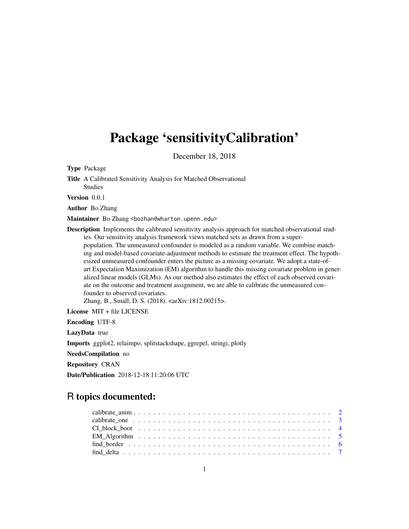# Package 'sensitivityCalibration'

December 18, 2018

Type Package

Title A Calibrated Sensitivity Analysis for Matched Observational Studies

Version 0.0.1

Author Bo Zhang

Maintainer Bo Zhang <bozhan@wharton.upenn.edu>

Description Implements the calibrated sensitivity analysis approach for matched observational studies. Our sensitivity analysis framework views matched sets as drawn from a superpopulation. The unmeasured confounder is modeled as a random variable. We combine matching and model-based covariate-adjustment methods to estimate the treatment effect. The hypothesized unmeasured confounder enters the picture as a missing covariate. We adopt a state-ofart Expectation Maximization (EM) algorithm to handle this missing covariate problem in generalized linear models (GLMs). As our method also estimates the effect of each observed covariate on the outcome and treatment assignment, we are able to calibrate the unmeasured confounder to observed covariates.

Zhang, B., Small, D. S. (2018). <arXiv:1812.00215>.

License MIT + file LICENSE

Encoding UTF-8

LazyData true

Imports ggplot2, relaimpo, splitstackshape, ggrepel, stringi, plotly

NeedsCompilation no

Repository CRAN

Date/Publication 2018-12-18 11:20:06 UTC

# R topics documented:

| $EM_A$ Algorithm $\ldots \ldots \ldots \ldots \ldots \ldots \ldots \ldots \ldots \ldots \ldots \ldots \ldots$ |  |
|---------------------------------------------------------------------------------------------------------------|--|
|                                                                                                               |  |
|                                                                                                               |  |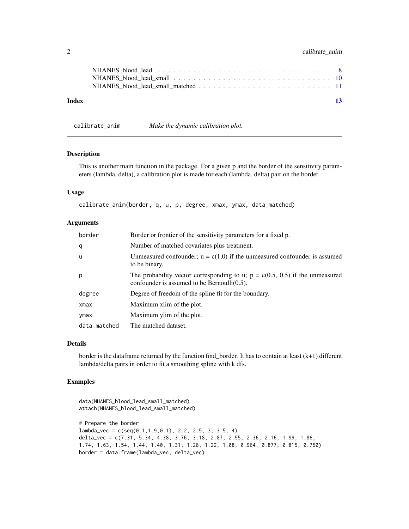# <span id="page-1-0"></span>2 calibrate\_anim

| Index | 13 |
|-------|----|

# Description

This is another main function in the package. For a given p and the border of the sensitivity parameters (lambda, delta), a calibration plot is made for each (lambda, delta) pair on the border.

#### Usage

calibrate\_anim(border, q, u, p, degree, xmax, ymax, data\_matched)

calibrate\_anim *Make the dynamic calibration plot.*

#### Arguments

| border       | Border or frontier of the sensitivity parameters for a fixed p.                                                                   |
|--------------|-----------------------------------------------------------------------------------------------------------------------------------|
| q            | Number of matched covariates plus treatment.                                                                                      |
| <b>u</b>     | Unmeasured confounder; $u = c(1,0)$ if the unmeasured confounder is assumed<br>to be binary.                                      |
| p            | The probability vector corresponding to u; $p = c(0.5, 0.5)$ if the unmeasured<br>confounder is assumed to be Bernoulli $(0.5)$ . |
| degree       | Degree of freedom of the spline fit for the boundary.                                                                             |
| xmax         | Maximum xlim of the plot.                                                                                                         |
| ymax         | Maximum ylim of the plot.                                                                                                         |
| data_matched | The matched dataset.                                                                                                              |

# Details

border is the dataframe returned by the function find\_border. It has to contain at least (k+1) different lambda/delta pairs in order to fit a smoothing spline with k dfs.

# Examples

```
data(NHANES_blood_lead_small_matched)
attach(NHANES_blood_lead_small_matched)
# Prepare the border
lambda_vec = c(seq(0.1,1.9,0.1), 2.2, 2.5, 3, 3.5, 4)
delta_vec = c(7.31, 5.34, 4.38, 3.76, 3.18, 2.87, 2.55, 2.36, 2.16, 1.99, 1.86,
1.74, 1.63, 1.54, 1.44, 1.40, 1.31, 1.28, 1.22, 1.08, 0.964, 0.877, 0.815, 0.750)
border = data.frame(lambda_vec, delta_vec)
```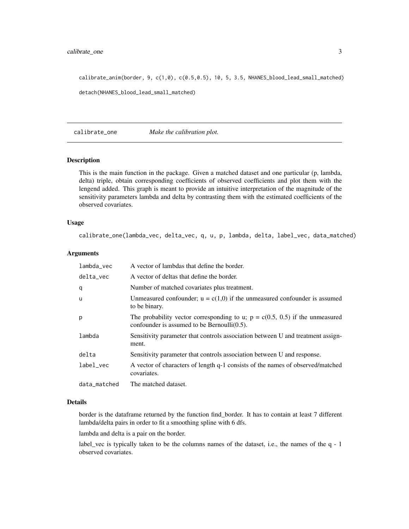# <span id="page-2-0"></span>calibrate\_one 3

calibrate\_anim(border, 9, c(1,0), c(0.5,0.5), 10, 5, 3.5, NHANES\_blood\_lead\_small\_matched) detach(NHANES\_blood\_lead\_small\_matched)

calibrate\_one *Make the calibration plot.*

## Description

This is the main function in the package. Given a matched dataset and one particular (p, lambda, delta) triple, obtain corresponding coefficients of observed coefficients and plot them with the lengend added. This graph is meant to provide an intuitive interpretation of the magnitude of the sensitivity parameters lambda and delta by contrasting them with the estimated coefficients of the observed covariates.

# Usage

calibrate\_one(lambda\_vec, delta\_vec, q, u, p, lambda, delta, label\_vec, data\_matched)

# Arguments

| lambda_vec   | A vector of lambdas that define the border.                                                                                       |
|--------------|-----------------------------------------------------------------------------------------------------------------------------------|
| delta_vec    | A vector of deltas that define the border.                                                                                        |
| q            | Number of matched covariates plus treatment.                                                                                      |
| u            | Unmeasured confounder; $u = c(1,0)$ if the unmeasured confounder is assumed<br>to be binary.                                      |
| p            | The probability vector corresponding to u; $p = c(0.5, 0.5)$ if the unmeasured<br>confounder is assumed to be Bernoulli $(0.5)$ . |
| lambda       | Sensitivity parameter that controls association between U and treatment assign-<br>ment.                                          |
| delta        | Sensitivity parameter that controls association between U and response.                                                           |
| label_vec    | A vector of characters of length q-1 consists of the names of observed/matched<br>covariates.                                     |
| data_matched | The matched dataset.                                                                                                              |

#### Details

border is the dataframe returned by the function find\_border. It has to contain at least 7 different lambda/delta pairs in order to fit a smoothing spline with 6 dfs.

lambda and delta is a pair on the border.

label\_vec is typically taken to be the columns names of the dataset, i.e., the names of the q - 1 observed covariates.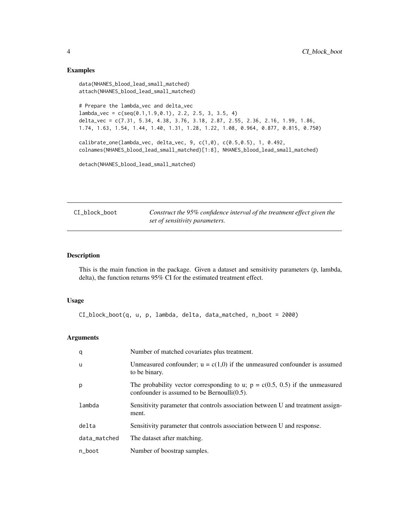# Examples

```
data(NHANES_blood_lead_small_matched)
attach(NHANES_blood_lead_small_matched)
# Prepare the lambda_vec and delta_vec
lambda_vec = c(seq(0.1,1.9,0.1), 2.2, 2.5, 3, 3.5, 4)
delta_vec = c(7.31, 5.34, 4.38, 3.76, 3.18, 2.87, 2.55, 2.36, 2.16, 1.99, 1.86,
1.74, 1.63, 1.54, 1.44, 1.40, 1.31, 1.28, 1.22, 1.08, 0.964, 0.877, 0.815, 0.750)
calibrate_one(lambda_vec, delta_vec, 9, c(1,0), c(0.5,0.5), 1, 0.492,
colnames(NHANES_blood_lead_small_matched)[1:8], NHANES_blood_lead_small_matched)
detach(NHANES_blood_lead_small_matched)
```
CI\_block\_boot *Construct the 95% confidence interval of the treatment effect given the set of sensitivity parameters.*

## Description

This is the main function in the package. Given a dataset and sensitivity parameters (p, lambda, delta), the function returns 95% CI for the estimated treatment effect.

# Usage

CI\_block\_boot(q, u, p, lambda, delta, data\_matched, n\_boot = 2000)

# Arguments

| q            | Number of matched covariates plus treatment.                                                                                      |
|--------------|-----------------------------------------------------------------------------------------------------------------------------------|
| <b>u</b>     | Unmeasured confounder; $u = c(1,0)$ if the unmeasured confounder is assumed<br>to be binary.                                      |
| p            | The probability vector corresponding to u; $p = c(0.5, 0.5)$ if the unmeasured<br>confounder is assumed to be Bernoulli $(0.5)$ . |
| lambda       | Sensitivity parameter that controls association between U and treatment assign-<br>ment.                                          |
| delta        | Sensitivity parameter that controls association between U and response.                                                           |
| data_matched | The dataset after matching.                                                                                                       |
| n_boot       | Number of boostrap samples.                                                                                                       |

<span id="page-3-0"></span>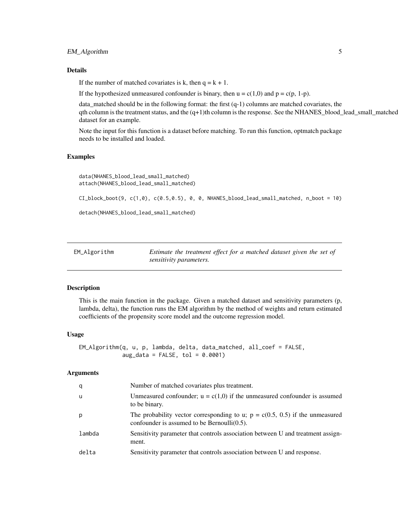# <span id="page-4-0"></span>EM\_Algorithm 5

# Details

If the number of matched covariates is k, then  $q = k + 1$ .

If the hypothesized unmeasured confounder is binary, then  $u = c(1,0)$  and  $p = c(p, 1-p)$ .

data\_matched should be in the following format: the first (q-1) columns are matched covariates, the qth column is the treatment status, and the (q+1)th column is the response. See the NHANES\_blood\_lead\_small\_matched dataset for an example.

Note the input for this function is a dataset before matching. To run this function, optmatch package needs to be installed and loaded.

# Examples

```
data(NHANES_blood_lead_small_matched)
attach(NHANES_blood_lead_small_matched)
```
 $CI\_block\_book(9, c(1,0), c(0.5,0.5), 0, 0, NHANES\_blood\_lead\_small\_matched, n\_boot = 10)$ 

detach(NHANES\_blood\_lead\_small\_matched)

| EM_Algorithm | Estimate the treatment effect for a matched dataset given the set of |  |
|--------------|----------------------------------------------------------------------|--|
|              | sensitivity parameters.                                              |  |

# Description

This is the main function in the package. Given a matched dataset and sensitivity parameters (p, lambda, delta), the function runs the EM algorithm by the method of weights and return estimated coefficients of the propensity score model and the outcome regression model.

#### Usage

```
EM_Algorithm(q, u, p, lambda, delta, data_matched, all_coef = FALSE,
            aug_data = FALSE, tol = 0.0001)
```
#### Arguments

| q      | Number of matched covariates plus treatment.                                                                                      |
|--------|-----------------------------------------------------------------------------------------------------------------------------------|
| -u     | Unmeasured confounder; $u = c(1,0)$ if the unmeasured confounder is assumed<br>to be binary.                                      |
| p      | The probability vector corresponding to u; $p = c(0.5, 0.5)$ if the unmeasured<br>confounder is assumed to be Bernoulli $(0.5)$ . |
| lambda | Sensitivity parameter that controls association between U and treatment assign-<br>ment.                                          |
| delta  | Sensitivity parameter that controls association between U and response.                                                           |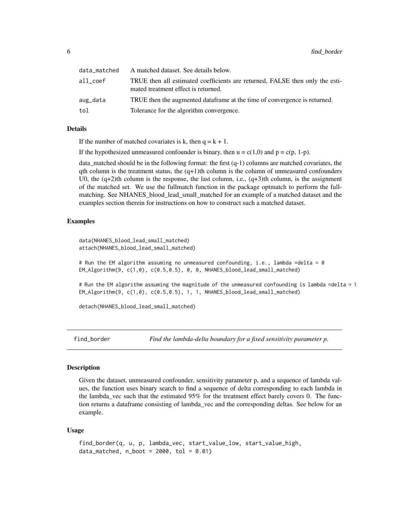<span id="page-5-0"></span>

| data_matched | A matched dataset. See details below.                                                                               |
|--------------|---------------------------------------------------------------------------------------------------------------------|
| all coef     | TRUE then all estimated coefficients are returned, FALSE then only the esti-<br>mated treatment effect is returned. |
| aug_data     | TRUE then the augmented data frame at the time of convergence is returned.                                          |
| tol          | Tolerance for the algorithm convergence.                                                                            |

# Details

If the number of matched covariates is k, then  $q = k + 1$ .

If the hypothesized unmeasured confounder is binary, then  $u = c(1,0)$  and  $p = c(p, 1-p)$ .

data\_matched should be in the following format: the first (q-1) columns are matched covariates, the qth column is the treatment status, the  $(q+1)$ th column is the column of unmeasured confounders U0, the  $(q+2)$ th column is the response, the last column, i.e.,  $(q+3)$ th column, is the assignment of the matched set. We use the fullmatch function in the package optmatch to perform the fullmatching. See NHANES\_blood\_lead\_small\_matched for an example of a matched dataset and the examples section therein for instructions on how to construct such a matched dataset.

# Examples

```
data(NHANES_blood_lead_small_matched)
attach(NHANES_blood_lead_small_matched)
```
# Run the EM algorithm assuming no unmeasured confounding, i.e., lambda =delta = 0 EM\_Algorithm(9, c(1,0), c(0.5,0.5), 0, 0, NHANES\_blood\_lead\_small\_matched)

# Run the EM algorithm assuming the magnitude of the unmeasured confounding is lambda =delta = 1 EM\_Algorithm(9, c(1,0), c(0.5,0.5), 1, 1, NHANES\_blood\_lead\_small\_matched)

detach(NHANES\_blood\_lead\_small\_matched)

find\_border *Find the lambda-delta boundary for a fixed sensitivity parameter p.*

#### Description

Given the dataset, unmeasured confounder, sensitivity parameter p, and a sequence of lambda values, the function uses binary search to find a sequence of delta corresponding to each lambda in the lambda\_vec such that the estimated 95% for the treatment effect barely covers 0. The function returns a dataframe consisting of lambda\_vec and the corresponding deltas. See below for an example.

#### Usage

```
find_border(q, u, p, lambda_vec, start_value_low, start_value_high,
data_matched, n\_boot = 2000, tol = 0.01)
```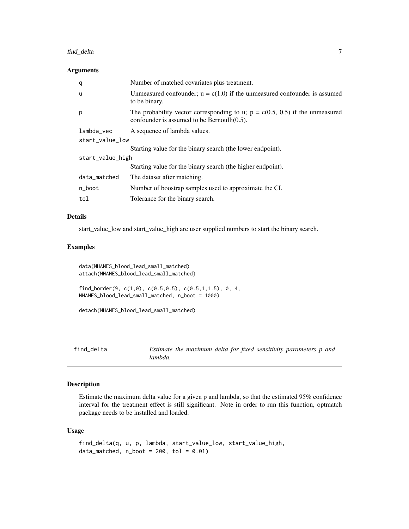#### <span id="page-6-0"></span>find\_delta 7

# Arguments

| q                | Number of matched covariates plus treatment.                                                                                      |  |
|------------------|-----------------------------------------------------------------------------------------------------------------------------------|--|
| u                | Unmeasured confounder; $u = c(1,0)$ if the unmeasured confounder is assumed<br>to be binary.                                      |  |
| p                | The probability vector corresponding to u; $p = c(0.5, 0.5)$ if the unmeasured<br>confounder is assumed to be Bernoulli $(0.5)$ . |  |
| lambda_vec       | A sequence of lambda values.                                                                                                      |  |
| start_value_low  |                                                                                                                                   |  |
|                  | Starting value for the binary search (the lower endpoint).                                                                        |  |
| start_value_high |                                                                                                                                   |  |
|                  | Starting value for the binary search (the higher endpoint).                                                                       |  |
| data_matched     | The dataset after matching.                                                                                                       |  |
| n_boot           | Number of boostrap samples used to approximate the CI.                                                                            |  |
| tol              | Tolerance for the binary search.                                                                                                  |  |
|                  |                                                                                                                                   |  |

# Details

start\_value\_low and start\_value\_high are user supplied numbers to start the binary search.

# Examples

data(NHANES\_blood\_lead\_small\_matched) attach(NHANES\_blood\_lead\_small\_matched)

find\_border(9, c(1,0), c(0.5,0.5), c(0.5,1,1.5), 0, 4, NHANES\_blood\_lead\_small\_matched, n\_boot = 1000)

```
detach(NHANES_blood_lead_small_matched)
```
# Description

Estimate the maximum delta value for a given p and lambda, so that the estimated 95% confidence interval for the treatment effect is still significant. Note in order to run this function, optmatch package needs to be installed and loaded.

# Usage

```
find_delta(q, u, p, lambda, start_value_low, start_value_high,
data_matched, n\_boot = 200, tol = 0.01)
```
find\_delta *Estimate the maximum delta for fixed sensitivity parameters p and lambda.*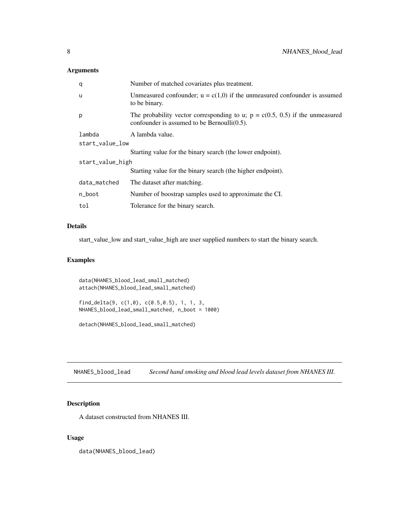# <span id="page-7-0"></span>Arguments

| q                | Number of matched covariates plus treatment.                                                                                      |  |
|------------------|-----------------------------------------------------------------------------------------------------------------------------------|--|
| u                | Unmeasured confounder; $u = c(1,0)$ if the unmeasured confounder is assumed<br>to be binary.                                      |  |
| p                | The probability vector corresponding to u; $p = c(0.5, 0.5)$ if the unmeasured<br>confounder is assumed to be Bernoulli $(0.5)$ . |  |
| lambda           | A lambda value.                                                                                                                   |  |
| start_value_low  |                                                                                                                                   |  |
|                  | Starting value for the binary search (the lower endpoint).                                                                        |  |
| start_value_high |                                                                                                                                   |  |
|                  | Starting value for the binary search (the higher endpoint).                                                                       |  |
| data_matched     | The dataset after matching.                                                                                                       |  |
| n_boot           | Number of boostrap samples used to approximate the CI.                                                                            |  |
| tol              | Tolerance for the binary search.                                                                                                  |  |

# Details

start\_value\_low and start\_value\_high are user supplied numbers to start the binary search.

# Examples

```
data(NHANES_blood_lead_small_matched)
attach(NHANES_blood_lead_small_matched)
find_delta(9, c(1,0), c(0.5,0.5), 1, 1, 3,
NHANES_blood_lead_small_matched, n_boot = 1000)
```
detach(NHANES\_blood\_lead\_small\_matched)

NHANES\_blood\_lead *Second hand smoking and blood lead levels dataset from NHANES III.*

# Description

A dataset constructed from NHANES III.

# Usage

data(NHANES\_blood\_lead)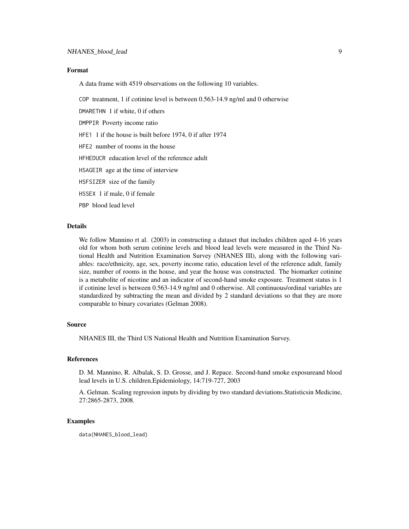# Format

A data frame with 4519 observations on the following 10 variables.

COP treatment, 1 if cotinine level is between 0.563-14.9 ng/ml and 0 otherwise

DMARETHN 1 if white, 0 if others

DMPPIR Poverty income ratio

HFE1 1 if the house is built before 1974, 0 if after 1974

HFE2 number of rooms in the house

HFHEDUCR education level of the reference adult

HSAGEIR age at the time of interview

HSFSIZER size of the family

HSSEX 1 if male, 0 if female

PBP blood lead level

#### Details

We follow Mannino rt al. (2003) in constructing a dataset that includes children aged 4-16 years old for whom both serum cotinine levels and blood lead levels were measured in the Third National Health and Nutrition Examination Survey (NHANES III), along with the following variables: race/ethnicity, age, sex, poverty income ratio, education level of the reference adult, family size, number of rooms in the house, and year the house was constructed. The biomarker cotinine is a metabolite of nicotine and an indicator of second-hand smoke exposure. Treatment status is 1 if cotinine level is between 0.563-14.9 ng/ml and 0 otherwise. All continuous/ordinal variables are standardized by subtracting the mean and divided by 2 standard deviations so that they are more comparable to binary covariates (Gelman 2008).

### Source

NHANES III, the Third US National Health and Nutrition Examination Survey.

#### References

D. M. Mannino, R. Albalak, S. D. Grosse, and J. Repace. Second-hand smoke exposureand blood lead levels in U.S. children.Epidemiology, 14:719-727, 2003

A. Gelman. Scaling regression inputs by dividing by two standard deviations.Statisticsin Medicine, 27:2865-2873, 2008.

#### Examples

data(NHANES\_blood\_lead)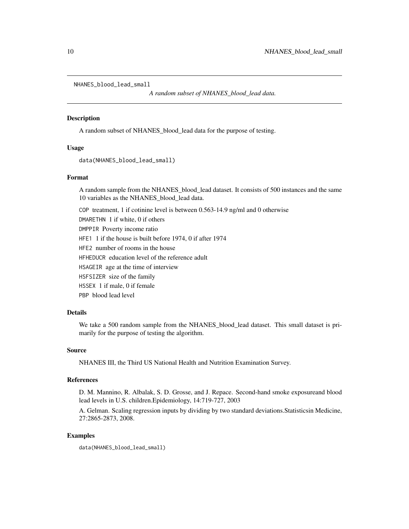```
NHANES_blood_lead_small
```
*A random subset of NHANES\_blood\_lead data.*

#### Description

A random subset of NHANES\_blood\_lead data for the purpose of testing.

## Usage

```
data(NHANES_blood_lead_small)
```
#### Format

A random sample from the NHANES\_blood\_lead dataset. It consists of 500 instances and the same 10 variables as the NHANES\_blood\_lead data.

COP treatment, 1 if cotinine level is between 0.563-14.9 ng/ml and 0 otherwise DMARETHN 1 if white, 0 if others

DMPPIR Poverty income ratio

HFE1 1 if the house is built before 1974, 0 if after 1974

HFE2 number of rooms in the house

HFHEDUCR education level of the reference adult

HSAGEIR age at the time of interview

HSFSIZER size of the family

HSSEX 1 if male, 0 if female

PBP blood lead level

# Details

We take a 500 random sample from the NHANES\_blood\_lead dataset. This small dataset is primarily for the purpose of testing the algorithm.

# Source

NHANES III, the Third US National Health and Nutrition Examination Survey.

#### References

D. M. Mannino, R. Albalak, S. D. Grosse, and J. Repace. Second-hand smoke exposureand blood lead levels in U.S. children.Epidemiology, 14:719-727, 2003

A. Gelman. Scaling regression inputs by dividing by two standard deviations.Statisticsin Medicine, 27:2865-2873, 2008.

# Examples

data(NHANES\_blood\_lead\_small)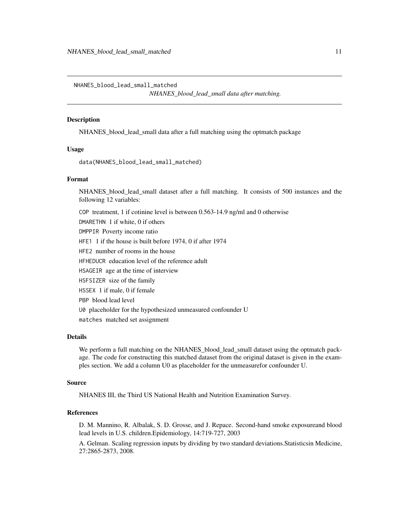<span id="page-10-0"></span>NHANES\_blood\_lead\_small\_matched

*NHANES\_blood\_lead\_small data after matching.*

#### **Description**

NHANES\_blood\_lead\_small data after a full matching using the optmatch package

# Usage

data(NHANES\_blood\_lead\_small\_matched)

### Format

NHANES blood lead small dataset after a full matching. It consists of 500 instances and the following 12 variables:

COP treatment, 1 if cotinine level is between 0.563-14.9 ng/ml and 0 otherwise DMARETHN 1 if white, 0 if others DMPPIR Poverty income ratio

HFE1 1 if the house is built before 1974, 0 if after 1974

HFE2 number of rooms in the house

HFHEDUCR education level of the reference adult

HSAGEIR age at the time of interview

HSFSIZER size of the family

HSSEX 1 if male, 0 if female

PBP blood lead level

U0 placeholder for the hypothesized unmeasured confounder U

matches matched set assignment

# Details

We perform a full matching on the NHANES\_blood\_lead\_small dataset using the optmatch package. The code for constructing this matched dataset from the original dataset is given in the examples section. We add a column U0 as placeholder for the unmeasurefor confounder U.

## Source

NHANES III, the Third US National Health and Nutrition Examination Survey.

#### References

D. M. Mannino, R. Albalak, S. D. Grosse, and J. Repace. Second-hand smoke exposureand blood lead levels in U.S. children.Epidemiology, 14:719-727, 2003

A. Gelman. Scaling regression inputs by dividing by two standard deviations.Statisticsin Medicine, 27:2865-2873, 2008.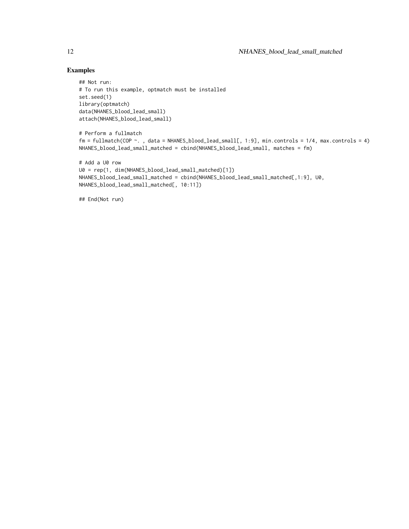# Examples

```
## Not run:
# To run this example, optmatch must be installed
set.seed(1)
library(optmatch)
data(NHANES_blood_lead_small)
attach(NHANES_blood_lead_small)
# Perform a fullmatch
fm = fullmatch(COP ~. , data = NHANES\_blood\_lead\_small[, 1:9], min. controls = 1/4, max. controls = 4)NHANES_blood_lead_small_matched = cbind(NHANES_blood_lead_small, matches = fm)
```

```
# Add a U0 row
U0 = rep(1, dim(NHANES_blood_lead_small_matched)[1])
NHANES_blood_lead_small_matched = cbind(NHANES_blood_lead_small_matched[,1:9], U0,
NHANES_blood_lead_small_matched[, 10:11])
```
## End(Not run)